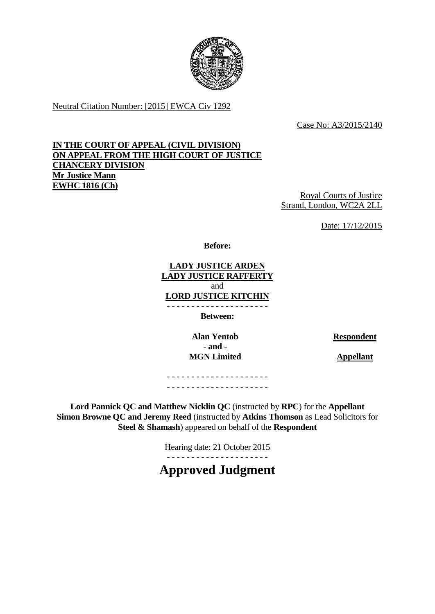

Neutral Citation Number: [2015] EWCA Civ 1292

Case No: A3/2015/2140

# **IN THE COURT OF APPEAL (CIVIL DIVISION) ON APPEAL FROM THE HIGH COURT OF JUSTICE CHANCERY DIVISION Mr Justice Mann EWHC 1816 (Ch)**

Royal Courts of Justice Strand, London, WC2A 2LL

Date: 17/12/2015

**Before:**

**LADY JUSTICE ARDEN LADY JUSTICE RAFFERTY** and **LORD JUSTICE KITCHIN**

- - - - - - - - - - - - - - - - - - - - -

**Between:**

**Alan Yentob Respondent - and - MGN Limited Appellant** 

- - - - - - - - - - - - - - - - - - - - - - - - - - - - - - - - - - - - - - - - - -

**Lord Pannick QC and Matthew Nicklin QC** (instructed by **RPC**) for the **Appellant Simon Browne QC and Jeremy Reed** (instructed by **Atkins Thomson** as Lead Solicitors for **Steel & Shamash**) appeared on behalf of the **Respondent**

> Hearing date: 21 October 2015 - - - - - - - - - - - - - - - - - - - - -

**Approved Judgment**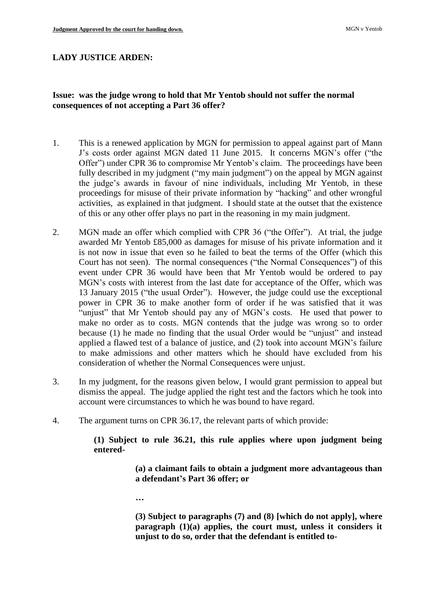### **LADY JUSTICE ARDEN:**

## **Issue: was the judge wrong to hold that Mr Yentob should not suffer the normal consequences of not accepting a Part 36 offer?**

- 1. This is a renewed application by MGN for permission to appeal against part of Mann J's costs order against MGN dated 11 June 2015. It concerns MGN's offer ("the Offer") under CPR 36 to compromise Mr Yentob's claim. The proceedings have been fully described in my judgment ("my main judgment") on the appeal by MGN against the judge's awards in favour of nine individuals, including Mr Yentob, in these proceedings for misuse of their private information by "hacking" and other wrongful activities, as explained in that judgment. I should state at the outset that the existence of this or any other offer plays no part in the reasoning in my main judgment.
- 2. MGN made an offer which complied with CPR 36 ("the Offer"). At trial, the judge awarded Mr Yentob £85,000 as damages for misuse of his private information and it is not now in issue that even so he failed to beat the terms of the Offer (which this Court has not seen). The normal consequences ("the Normal Consequences") of this event under CPR 36 would have been that Mr Yentob would be ordered to pay MGN's costs with interest from the last date for acceptance of the Offer, which was 13 January 2015 ("the usual Order"). However, the judge could use the exceptional power in CPR 36 to make another form of order if he was satisfied that it was "unjust" that Mr Yentob should pay any of MGN's costs. He used that power to make no order as to costs. MGN contends that the judge was wrong so to order because (1) he made no finding that the usual Order would be "unjust" and instead applied a flawed test of a balance of justice, and (2) took into account MGN's failure to make admissions and other matters which he should have excluded from his consideration of whether the Normal Consequences were unjust.
- 3. In my judgment, for the reasons given below, I would grant permission to appeal but dismiss the appeal. The judge applied the right test and the factors which he took into account were circumstances to which he was bound to have regard.
- 4. The argument turns on CPR 36.17, the relevant parts of which provide:

**(1) Subject to rule 36.21, this rule applies where upon judgment being entered-**

> **(a) a claimant fails to obtain a judgment more advantageous than a defendant's Part 36 offer; or**

**…**

**(3) Subject to paragraphs (7) and (8) [which do not apply], where paragraph (1)(a) applies, the court must, unless it considers it unjust to do so, order that the defendant is entitled to-**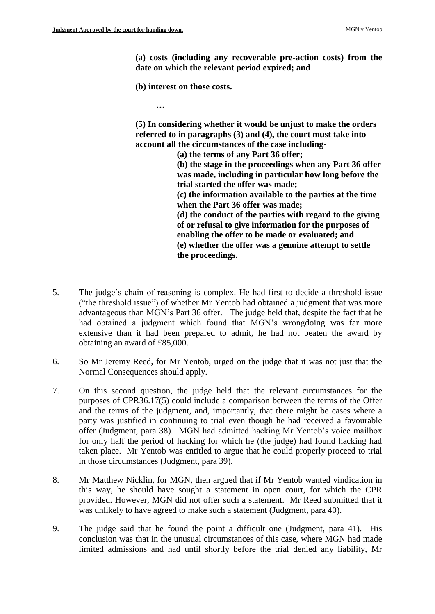**(a) costs (including any recoverable pre-action costs) from the date on which the relevant period expired; and** 

**(b) interest on those costs.** 

**…**

**(5) In considering whether it would be unjust to make the orders referred to in paragraphs (3) and (4), the court must take into account all the circumstances of the case including-**

> **(a) the terms of any Part 36 offer; (b) the stage in the proceedings when any Part 36 offer was made, including in particular how long before the trial started the offer was made; (c) the information available to the parties at the time when the Part 36 offer was made; (d) the conduct of the parties with regard to the giving of or refusal to give information for the purposes of enabling the offer to be made or evaluated; and (e) whether the offer was a genuine attempt to settle the proceedings.**

- 5. The judge's chain of reasoning is complex. He had first to decide a threshold issue ("the threshold issue") of whether Mr Yentob had obtained a judgment that was more advantageous than MGN's Part 36 offer. The judge held that, despite the fact that he had obtained a judgment which found that MGN's wrongdoing was far more extensive than it had been prepared to admit, he had not beaten the award by obtaining an award of £85,000.
- 6. So Mr Jeremy Reed, for Mr Yentob, urged on the judge that it was not just that the Normal Consequences should apply.
- 7. On this second question, the judge held that the relevant circumstances for the purposes of CPR36.17(5) could include a comparison between the terms of the Offer and the terms of the judgment, and, importantly, that there might be cases where a party was justified in continuing to trial even though he had received a favourable offer (Judgment, para 38). MGN had admitted hacking Mr Yentob's voice mailbox for only half the period of hacking for which he (the judge) had found hacking had taken place. Mr Yentob was entitled to argue that he could properly proceed to trial in those circumstances (Judgment, para 39).
- 8. Mr Matthew Nicklin, for MGN, then argued that if Mr Yentob wanted vindication in this way, he should have sought a statement in open court, for which the CPR provided. However, MGN did not offer such a statement. Mr Reed submitted that it was unlikely to have agreed to make such a statement (Judgment, para 40).
- 9. The judge said that he found the point a difficult one (Judgment, para 41). His conclusion was that in the unusual circumstances of this case, where MGN had made limited admissions and had until shortly before the trial denied any liability, Mr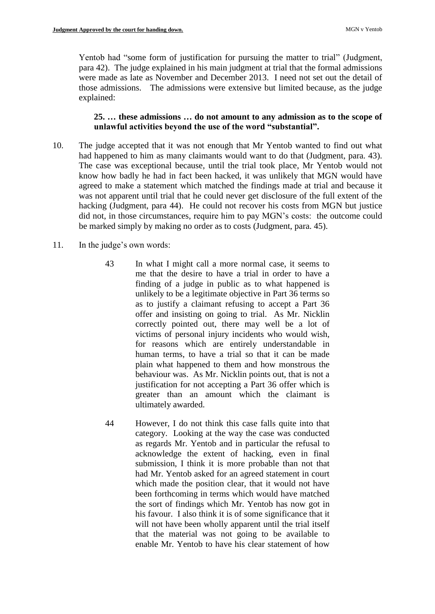Yentob had "some form of justification for pursuing the matter to trial" (Judgment, para 42). The judge explained in his main judgment at trial that the formal admissions were made as late as November and December 2013. I need not set out the detail of those admissions. The admissions were extensive but limited because, as the judge explained:

## **25. … these admissions … do not amount to any admission as to the scope of unlawful activities beyond the use of the word "substantial".**

- 10. The judge accepted that it was not enough that Mr Yentob wanted to find out what had happened to him as many claimants would want to do that (Judgment, para. 43). The case was exceptional because, until the trial took place, Mr Yentob would not know how badly he had in fact been hacked, it was unlikely that MGN would have agreed to make a statement which matched the findings made at trial and because it was not apparent until trial that he could never get disclosure of the full extent of the hacking (Judgment, para 44). He could not recover his costs from MGN but justice did not, in those circumstances, require him to pay MGN's costs: the outcome could be marked simply by making no order as to costs (Judgment, para. 45).
- 11. In the judge's own words:
	- 43 In what I might call a more normal case, it seems to me that the desire to have a trial in order to have a finding of a judge in public as to what happened is unlikely to be a legitimate objective in Part 36 terms so as to justify a claimant refusing to accept a Part 36 offer and insisting on going to trial. As Mr. Nicklin correctly pointed out, there may well be a lot of victims of personal injury incidents who would wish, for reasons which are entirely understandable in human terms, to have a trial so that it can be made plain what happened to them and how monstrous the behaviour was. As Mr. Nicklin points out, that is not a justification for not accepting a Part 36 offer which is greater than an amount which the claimant is ultimately awarded.
	- 44 However, I do not think this case falls quite into that category. Looking at the way the case was conducted as regards Mr. Yentob and in particular the refusal to acknowledge the extent of hacking, even in final submission, I think it is more probable than not that had Mr. Yentob asked for an agreed statement in court which made the position clear, that it would not have been forthcoming in terms which would have matched the sort of findings which Mr. Yentob has now got in his favour. I also think it is of some significance that it will not have been wholly apparent until the trial itself that the material was not going to be available to enable Mr. Yentob to have his clear statement of how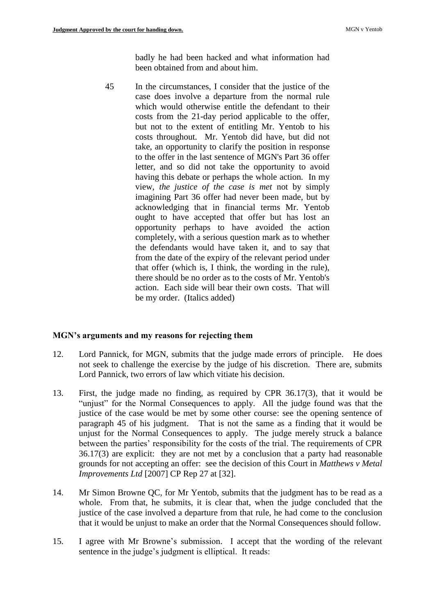badly he had been hacked and what information had been obtained from and about him.

45 In the circumstances, I consider that the justice of the case does involve a departure from the normal rule which would otherwise entitle the defendant to their costs from the 21-day period applicable to the offer, but not to the extent of entitling Mr. Yentob to his costs throughout. Mr. Yentob did have, but did not take, an opportunity to clarify the position in response to the offer in the last sentence of MGN's Part 36 offer letter, and so did not take the opportunity to avoid having this debate or perhaps the whole action. In my view, *the justice of the case is met* not by simply imagining Part 36 offer had never been made, but by acknowledging that in financial terms Mr. Yentob ought to have accepted that offer but has lost an opportunity perhaps to have avoided the action completely, with a serious question mark as to whether the defendants would have taken it, and to say that from the date of the expiry of the relevant period under that offer (which is, I think, the wording in the rule), there should be no order as to the costs of Mr. Yentob's action. Each side will bear their own costs. That will be my order. (Italics added)

#### **MGN's arguments and my reasons for rejecting them**

- 12. Lord Pannick, for MGN, submits that the judge made errors of principle. He does not seek to challenge the exercise by the judge of his discretion. There are, submits Lord Pannick, two errors of law which vitiate his decision.
- 13. First, the judge made no finding, as required by CPR 36.17(3), that it would be "unjust" for the Normal Consequences to apply. All the judge found was that the justice of the case would be met by some other course: see the opening sentence of paragraph 45 of his judgment. That is not the same as a finding that it would be unjust for the Normal Consequences to apply. The judge merely struck a balance between the parties' responsibility for the costs of the trial. The requirements of CPR 36.17(3) are explicit: they are not met by a conclusion that a party had reasonable grounds for not accepting an offer: see the decision of this Court in *Matthews v Metal Improvements Ltd* [2007] CP Rep 27 at [32].
- 14. Mr Simon Browne QC, for Mr Yentob, submits that the judgment has to be read as a whole. From that, he submits, it is clear that, when the judge concluded that the justice of the case involved a departure from that rule, he had come to the conclusion that it would be unjust to make an order that the Normal Consequences should follow.
- 15. I agree with Mr Browne's submission. I accept that the wording of the relevant sentence in the judge's judgment is elliptical. It reads: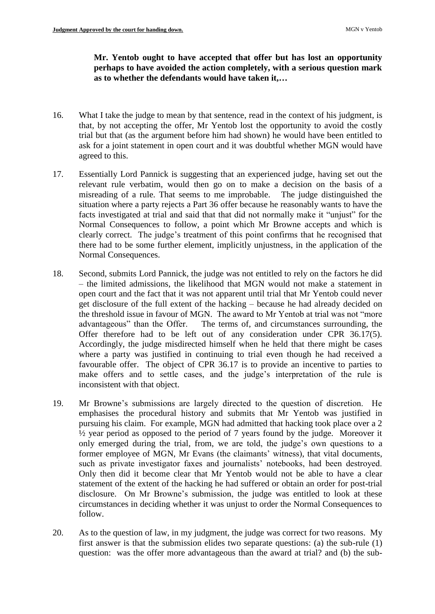# **Mr. Yentob ought to have accepted that offer but has lost an opportunity perhaps to have avoided the action completely, with a serious question mark as to whether the defendants would have taken it,…**

- 16. What I take the judge to mean by that sentence, read in the context of his judgment, is that, by not accepting the offer, Mr Yentob lost the opportunity to avoid the costly trial but that (as the argument before him had shown) he would have been entitled to ask for a joint statement in open court and it was doubtful whether MGN would have agreed to this.
- 17. Essentially Lord Pannick is suggesting that an experienced judge, having set out the relevant rule verbatim, would then go on to make a decision on the basis of a misreading of a rule. That seems to me improbable. The judge distinguished the situation where a party rejects a Part 36 offer because he reasonably wants to have the facts investigated at trial and said that that did not normally make it "unjust" for the Normal Consequences to follow, a point which Mr Browne accepts and which is clearly correct. The judge's treatment of this point confirms that he recognised that there had to be some further element, implicitly unjustness, in the application of the Normal Consequences.
- 18. Second, submits Lord Pannick, the judge was not entitled to rely on the factors he did – the limited admissions, the likelihood that MGN would not make a statement in open court and the fact that it was not apparent until trial that Mr Yentob could never get disclosure of the full extent of the hacking – because he had already decided on the threshold issue in favour of MGN. The award to Mr Yentob at trial was not "more advantageous" than the Offer. The terms of, and circumstances surrounding, the Offer therefore had to be left out of any consideration under CPR 36.17(5). Accordingly, the judge misdirected himself when he held that there might be cases where a party was justified in continuing to trial even though he had received a favourable offer. The object of CPR 36.17 is to provide an incentive to parties to make offers and to settle cases, and the judge's interpretation of the rule is inconsistent with that object.
- 19. Mr Browne's submissions are largely directed to the question of discretion. He emphasises the procedural history and submits that Mr Yentob was justified in pursuing his claim. For example, MGN had admitted that hacking took place over a 2 ½ year period as opposed to the period of 7 years found by the judge. Moreover it only emerged during the trial, from, we are told, the judge's own questions to a former employee of MGN, Mr Evans (the claimants' witness), that vital documents, such as private investigator faxes and journalists' notebooks, had been destroyed. Only then did it become clear that Mr Yentob would not be able to have a clear statement of the extent of the hacking he had suffered or obtain an order for post-trial disclosure. On Mr Browne's submission, the judge was entitled to look at these circumstances in deciding whether it was unjust to order the Normal Consequences to follow.
- 20. As to the question of law, in my judgment, the judge was correct for two reasons. My first answer is that the submission elides two separate questions: (a) the sub-rule (1) question: was the offer more advantageous than the award at trial? and (b) the sub-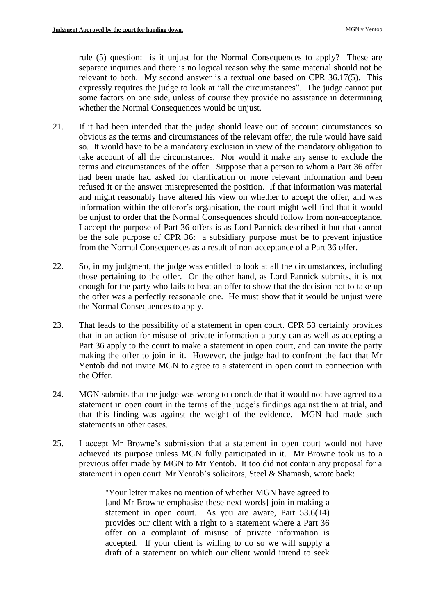rule (5) question: is it unjust for the Normal Consequences to apply? These are separate inquiries and there is no logical reason why the same material should not be relevant to both. My second answer is a textual one based on CPR 36.17(5). This expressly requires the judge to look at "all the circumstances". The judge cannot put some factors on one side, unless of course they provide no assistance in determining whether the Normal Consequences would be unjust.

- 21. If it had been intended that the judge should leave out of account circumstances so obvious as the terms and circumstances of the relevant offer, the rule would have said so. It would have to be a mandatory exclusion in view of the mandatory obligation to take account of all the circumstances. Nor would it make any sense to exclude the terms and circumstances of the offer. Suppose that a person to whom a Part 36 offer had been made had asked for clarification or more relevant information and been refused it or the answer misrepresented the position. If that information was material and might reasonably have altered his view on whether to accept the offer, and was information within the offeror's organisation, the court might well find that it would be unjust to order that the Normal Consequences should follow from non-acceptance. I accept the purpose of Part 36 offers is as Lord Pannick described it but that cannot be the sole purpose of CPR 36: a subsidiary purpose must be to prevent injustice from the Normal Consequences as a result of non-acceptance of a Part 36 offer.
- 22. So, in my judgment, the judge was entitled to look at all the circumstances, including those pertaining to the offer. On the other hand, as Lord Pannick submits, it is not enough for the party who fails to beat an offer to show that the decision not to take up the offer was a perfectly reasonable one. He must show that it would be unjust were the Normal Consequences to apply.
- 23. That leads to the possibility of a statement in open court. CPR 53 certainly provides that in an action for misuse of private information a party can as well as accepting a Part 36 apply to the court to make a statement in open court, and can invite the party making the offer to join in it. However, the judge had to confront the fact that Mr Yentob did not invite MGN to agree to a statement in open court in connection with the Offer.
- 24. MGN submits that the judge was wrong to conclude that it would not have agreed to a statement in open court in the terms of the judge's findings against them at trial, and that this finding was against the weight of the evidence. MGN had made such statements in other cases.
- 25. I accept Mr Browne's submission that a statement in open court would not have achieved its purpose unless MGN fully participated in it. Mr Browne took us to a previous offer made by MGN to Mr Yentob. It too did not contain any proposal for a statement in open court. Mr Yentob's solicitors, Steel & Shamash, wrote back:

"Your letter makes no mention of whether MGN have agreed to [and Mr Browne emphasise these next words] join in making a statement in open court. As you are aware, Part 53.6(14) provides our client with a right to a statement where a Part 36 offer on a complaint of misuse of private information is accepted. If your client is willing to do so we will supply a draft of a statement on which our client would intend to seek